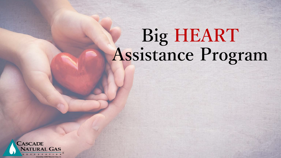# **Big HEART Assistance Program**

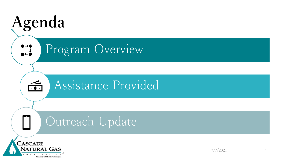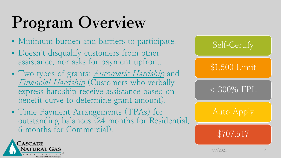# **Program Overview**

- Minimum burden and barriers to participate.
- Doesn't disqualify customers from other assistance, nor asks for payment upfront.
- Two types of grants: *Automatic Hardship* and Financial Hardship (Customers who verbally express hardship receive assistance based on benefit curve to determine grant amount).
- Time Payment Arrangements (TPAs) for outstanding balances (24-months for Residential; 6-months for Commercial).



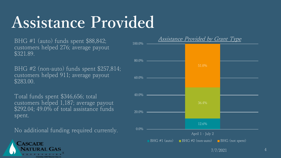### **Assistance Provided**

BHG #1 (auto) funds spent \$88,842; customers helped 276; average payout \$321.89.

BHG #2 (non-auto) funds spent \$257,814; customers helped 911; average payout \$283.00.

Total funds spent \$346,656; total customers helped 1,187; average payout \$292.04; 49.0% of total assistance funds spent.

No additional funding required currently.

**ASCADE** 



Assistance Provided by Grant Type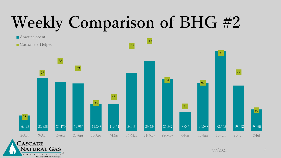# **Weekly Comparison of BHG #2**



CORPORATION

A Subsidiary of MDU Resources Group, Inc.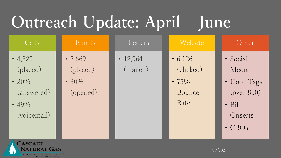# **Outreach Update: April – June**

| Calls                                                                | Emails                                            | Letters                | Website                                                 | Other                                                                                       |
|----------------------------------------------------------------------|---------------------------------------------------|------------------------|---------------------------------------------------------|---------------------------------------------------------------------------------------------|
| • $4,829$<br>(placed)<br>• 20%<br>(answered)<br>• 49%<br>(voicemail) | $\cdot$ 2,669<br>(placed)<br>• $30\%$<br>(opened) | • $12,964$<br>(mailed) | $\cdot 6,126$<br>(clicked)<br>• $75%$<br>Bounce<br>Rate | · Social<br>Media<br>• Door Tags<br>(over 850)<br>$\bullet$ Bill<br>Onserts<br>$\cdot$ CBOs |

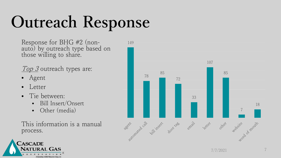# **Outreach Response**

Response for BHG #2 (non- auto) by outreach type based on those willing to share.

Top 3 outreach types are:

- Agent
- **Letter**
- Tie between:
	- Bill Insert/Onsert
	- Other (media)

This information is a manual process.





7/7/2021 7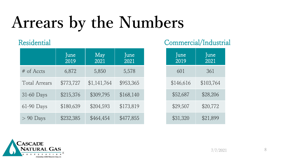# **Arrears by the Numbers**

#### Residential

|                      | June<br>2019 | May<br>2021 | June<br>2021 |
|----------------------|--------------|-------------|--------------|
| # of Accts           | 6,872        | 5,850       | 5,578        |
| <b>Total Arrears</b> | \$773,727    | \$1,141,764 | \$953,365    |
| 31-60 Days           | \$215,376    | \$309,795   | \$168,140    |
| 61-90 Days           | \$180,639    | \$204,593   | \$173,819    |
| $> 90$ Days          | \$232,385    | \$464,454   | \$477,855    |

### Commercial/Industrial

| June<br>2019 | June<br>2021 |  |
|--------------|--------------|--|
| 601          | 361          |  |
| \$146,616    | \$103,764    |  |
| \$52,687     | \$28,206     |  |
| \$29,507     | \$20,772     |  |
| \$31,320     | \$21,899     |  |

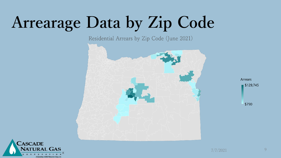### **Arrearage Data by Zip Code**

Residential Arrears by Zip Code (June 2021)





**Arrears** 

\$129,745

\$790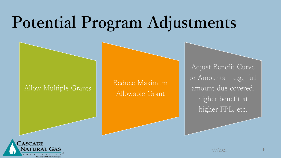### **Potential Program Adjustments**

Allow Multiple Grants Reduce Maximum Allowable Grant

Adjust Benefit Curve or Amounts – e.g., full amount due covered, higher benefit at higher FPL, etc.

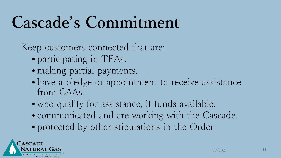### **Cascade's Commitment**

Keep customers connected that are:

- participating in TPAs.
- making partial payments.
- have a pledge or appointment to receive assistance from CAAs.
- who qualify for assistance, if funds available.
- communicated and are working with the Cascade.
- protected by other stipulations in the Order